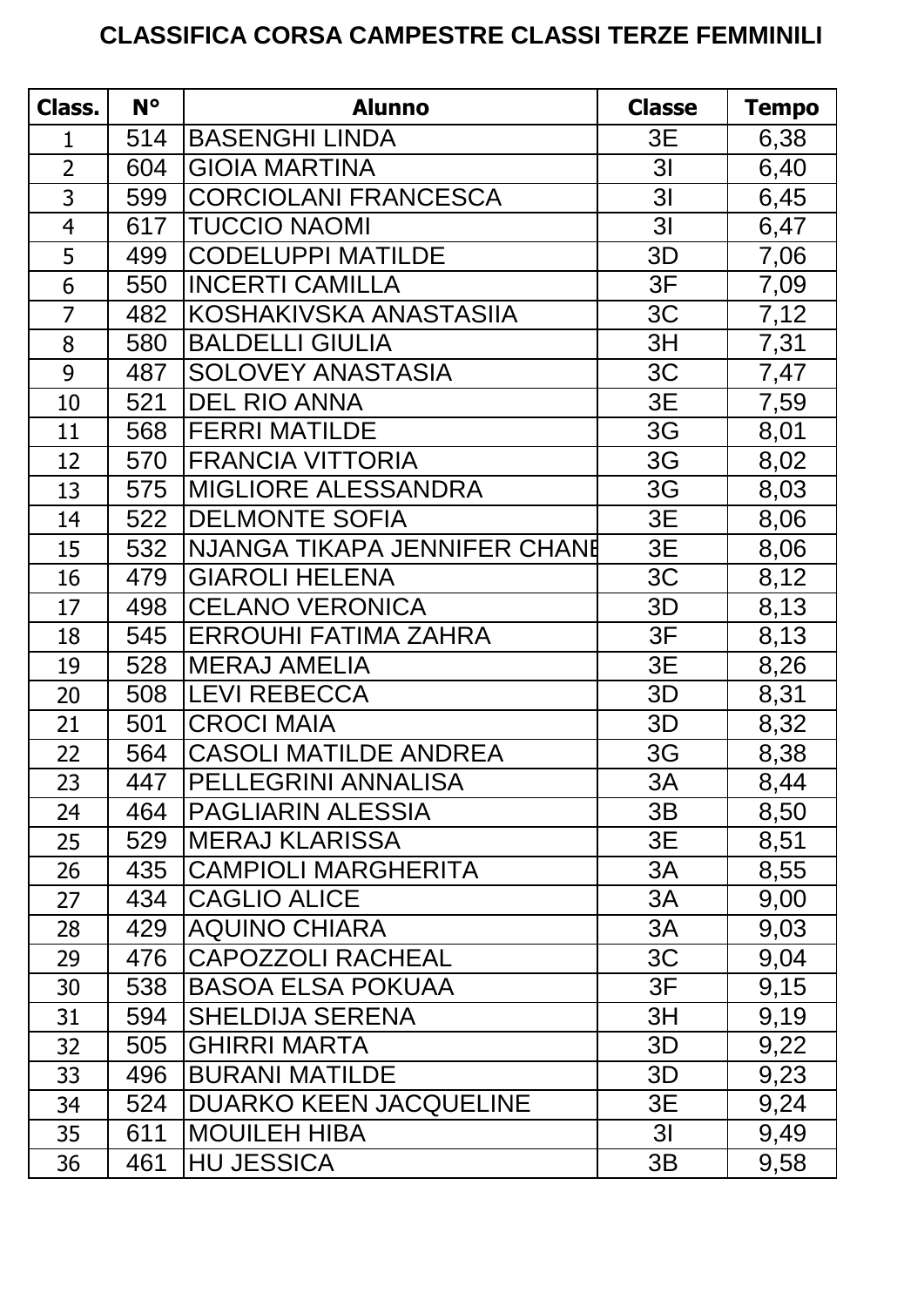## **CLASSIFICA CORSA CAMPESTRE CLASSI TERZE FEMMINILI**

| Class.         | $N^{\circ}$ | <b>Alunno</b>                 | <b>Classe</b>  | <b>Tempo</b> |
|----------------|-------------|-------------------------------|----------------|--------------|
| 1              | 514         | <b>BASENGHI LINDA</b>         | 3E             | 6,38         |
| $\overline{2}$ | 604         | <b>GIOIA MARTINA</b>          | 3 <sub>l</sub> | 6,40         |
| 3              | 599         | <b>CORCIOLANI FRANCESCA</b>   | 3 <sub>l</sub> | 6,45         |
| $\overline{4}$ | 617         | <b>TUCCIO NAOMI</b>           | 3 <sub>l</sub> | 6,47         |
| 5              | 499         | <b>CODELUPPI MATILDE</b>      | 3D             | 7,06         |
| 6              | 550         | <b>INCERTI CAMILLA</b>        | 3F             | 7,09         |
| $\overline{7}$ | 482         | KOSHAKIVSKA ANASTASIIA        | 3C             | 7,12         |
| 8              | 580         | <b>BALDELLI GIULIA</b>        | 3H             | 7,31         |
| 9              | 487         | <b>SOLOVEY ANASTASIA</b>      | 3C             | 7,47         |
| 10             | 521         | <b>DEL RIO ANNA</b>           | 3E             | 7,59         |
| 11             | 568         | <b>FERRI MATILDE</b>          | 3G             | 8,01         |
| 12             | 570         | <b>FRANCIA VITTORIA</b>       | 3G             | 8,02         |
| 13             | 575         | <b>MIGLIORE ALESSANDRA</b>    | 3G             | 8,03         |
| 14             | 522         | <b>DELMONTE SOFIA</b>         | 3E             | 8,06         |
| 15             | 532         | NJANGA TIKAPA JENNIFER CHANE  | 3E             | 8,06         |
| 16             | 479         | <b>GIAROLI HELENA</b>         | 3C             | 8,12         |
| 17             | 498         | <b>CELANO VERONICA</b>        | 3D             | 8,13         |
| 18             | 545         | <b>ERROUHI FATIMA ZAHRA</b>   | 3F             | 8,13         |
| 19             | 528         | <b>MERAJ AMELIA</b>           | 3E             | 8,26         |
| 20             | 508         | <b>LEVI REBECCA</b>           | 3D             | 8,31         |
| 21             | 501         | <b>CROCI MAIA</b>             | 3D             | 8,32         |
| 22             | 564         | <b>CASOLI MATILDE ANDREA</b>  | 3G             | 8,38         |
| 23             | 447         | <b>PELLEGRINI ANNALISA</b>    | 3A             | 8,44         |
| 24             | 464         | <b>PAGLIARIN ALESSIA</b>      | 3B             | 8,50         |
| 25             | 529         | <b>MERAJ KLARISSA</b>         | 3E             | 8,51         |
| 26             | 435         | <b>CAMPIOLI MARGHERITA</b>    | 3A             | 8,55         |
| 27             | 434         | <b>CAGLIO ALICE</b>           | 3A             | 9,00         |
| 28             | 429         | <b>AQUINO CHIARA</b>          | 3A             | 9,03         |
| 29             | 476         | <b>CAPOZZOLI RACHEAL</b>      | 3C             | 9,04         |
| 30             | 538         | <b>BASOA ELSA POKUAA</b>      | 3F             | 9,15         |
| 31             | 594         | <b>SHELDIJA SERENA</b>        | 3H             | 9,19         |
| 32             | 505         | <b>GHIRRI MARTA</b>           | 3D             | 9,22         |
| 33             | 496         | <b>BURANI MATILDE</b>         | 3D             | 9,23         |
| 34             | 524         | <b>DUARKO KEEN JACQUELINE</b> | 3E             | 9,24         |
| 35             | 611         | <b>MOUILEH HIBA</b>           | 3 <sup>l</sup> | 9,49         |
| 36             | 461         | <b>HU JESSICA</b>             | 3B             | 9,58         |